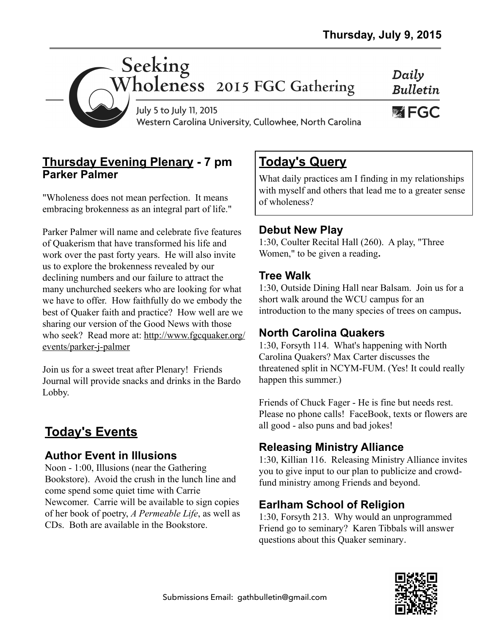Daily **Bulletin** 

**WEGC** 



July 5 to July 11, 2015 Western Carolina University, Cullowhee, North Carolina

## **Thursday Evening Plenary - 7 pm Parker Palmer**

"Wholeness does not mean perfection. It means embracing brokenness as an integral part of life."

Parker Palmer will name and celebrate five features of Quakerism that have transformed his life and work over the past forty years. He will also invite us to explore the brokenness revealed by our declining numbers and our failure to attract the many unchurched seekers who are looking for what we have to offer. How faithfully do we embody the best of Quaker faith and practice? How well are we sharing our version of the Good News with those [who seek? Read more at: http://www.fgcquaker.org/](http://www.fgcquaker.org/events/parker-j-palmer) events/parker-j-palmer

Join us for a sweet treat after Plenary! Friends Journal will provide snacks and drinks in the Bardo Lobby.

# **Today's Events**

## **Author Event in Illusions**

Noon - 1:00, Illusions (near the Gathering Bookstore). Avoid the crush in the lunch line and come spend some quiet time with Carrie Newcomer. Carrie will be available to sign copies of her book of poetry, *A Permeable Life*, as well as CDs. Both are available in the Bookstore.

## **Today's Query**

What daily practices am I finding in my relationships with myself and others that lead me to a greater sense of wholeness?

#### **Debut New Play**

1:30, Coulter Recital Hall (260). A play, "Three Women," to be given a reading**.** 

#### **Tree Walk**

1:30, Outside Dining Hall near Balsam. Join us for a short walk around the WCU campus for an introduction to the many species of trees on campus**.** 

## **North Carolina Quakers**

1:30, Forsyth 114. What's happening with North Carolina Quakers? Max Carter discusses the threatened split in NCYM-FUM. (Yes! It could really happen this summer.)

Friends of Chuck Fager - He is fine but needs rest. Please no phone calls! FaceBook, texts or flowers are all good - also puns and bad jokes!

## **Releasing Ministry Alliance**

1:30, Killian 116. Releasing Ministry Alliance invites you to give input to our plan to publicize and crowdfund ministry among Friends and beyond.

## **Earlham School of Religion**

1:30, Forsyth 213. Why would an unprogrammed Friend go to seminary? Karen Tibbals will answer questions about this Quaker seminary.

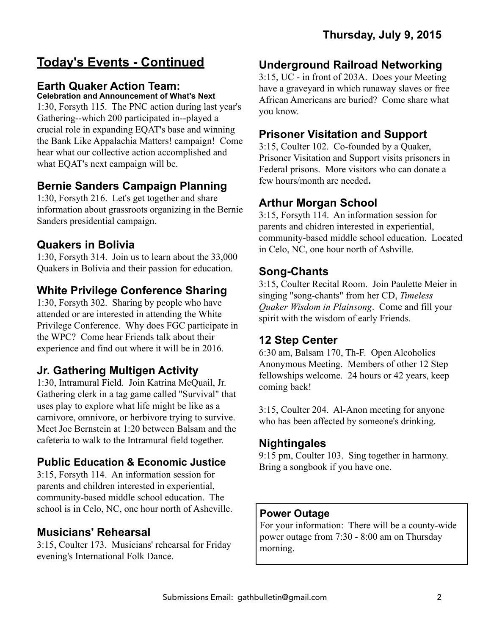# **Today's Events - Continued**

#### **Earth Quaker Action Team:**

#### **Celebration and Announcement of What's Next**

1:30, Forsyth 115. The PNC action during last year's Gathering--which 200 participated in--played a crucial role in expanding EQAT's base and winning the Bank Like Appalachia Matters! campaign! Come hear what our collective action accomplished and what EQAT's next campaign will be.

#### **Bernie Sanders Campaign Planning**

1:30, Forsyth 216. Let's get together and share information about grassroots organizing in the Bernie Sanders presidential campaign.

#### **Quakers in Bolivia**

1:30, Forsyth 314. Join us to learn about the 33,000 Quakers in Bolivia and their passion for education.

## **White Privilege Conference Sharing**

1:30, Forsyth 302. Sharing by people who have attended or are interested in attending the White Privilege Conference. Why does FGC participate in the WPC? Come hear Friends talk about their experience and find out where it will be in 2016.

#### **Jr. Gathering Multigen Activity**

1:30, Intramural Field. Join Katrina McQuail, Jr. Gathering clerk in a tag game called "Survival" that uses play to explore what life might be like as a carnivore, omnivore, or herbivore trying to survive. Meet Joe Bernstein at 1:20 between Balsam and the cafeteria to walk to the Intramural field together.

#### **Public Education & Economic Justice**

3:15, Forsyth 114. An information session for parents and children interested in experiential, community-based middle school education. The school is in Celo, NC, one hour north of Asheville.

## **Musicians' Rehearsal**

3:15, Coulter 173. Musicians' rehearsal for Friday evening's International Folk Dance.

#### **Underground Railroad Networking**

3:15, UC - in front of 203A. Does your Meeting have a graveyard in which runaway slaves or free African Americans are buried? Come share what you know.

#### **Prisoner Visitation and Support**

3:15, Coulter 102. Co-founded by a Quaker, Prisoner Visitation and Support visits prisoners in Federal prisons. More visitors who can donate a few hours/month are needed**.** 

#### **Arthur Morgan School**

3:15, Forsyth 114. An information session for parents and chidren interested in experiential, community-based middle school education. Located in Celo, NC, one hour north of Ashville.

#### **Song-Chants**

3:15, Coulter Recital Room. Join Paulette Meier in singing "song-chants" from her CD, *Timeless Quaker Wisdom in Plainsong*. Come and fill your spirit with the wisdom of early Friends.

#### **12 Step Center**

6:30 am, Balsam 170, Th-F. Open Alcoholics Anonymous Meeting. Members of other 12 Step fellowships welcome. 24 hours or 42 years, keep coming back!

3:15, Coulter 204. Al-Anon meeting for anyone who has been affected by someone's drinking.

#### **Nightingales**

9:15 pm, Coulter 103. Sing together in harmony. Bring a songbook if you have one.

#### **Power Outage**

For your information: There will be a county-wide power outage from 7:30 - 8:00 am on Thursday morning.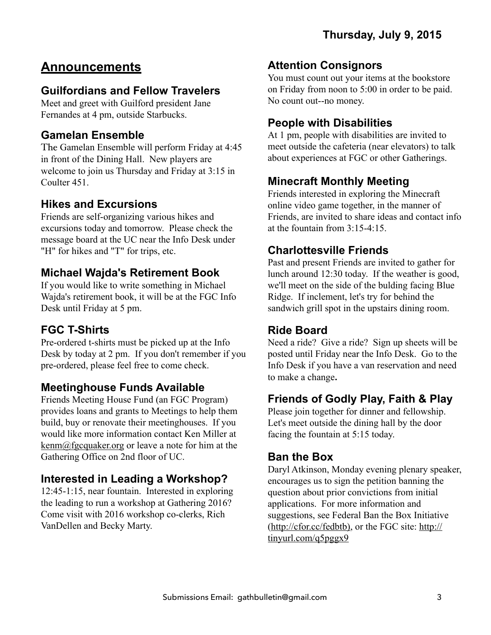# **Announcements**

## **Guilfordians and Fellow Travelers**

Meet and greet with Guilford president Jane Fernandes at 4 pm, outside Starbucks.

## **Gamelan Ensemble**

The Gamelan Ensemble will perform Friday at 4:45 in front of the Dining Hall. New players are welcome to join us Thursday and Friday at 3:15 in Coulter 451.

## **Hikes and Excursions**

Friends are self-organizing various hikes and excursions today and tomorrow. Please check the message board at the UC near the Info Desk under "H" for hikes and "T" for trips, etc.

## **Michael Wajda's Retirement Book**

If you would like to write something in Michael Wajda's retirement book, it will be at the FGC Info Desk until Friday at 5 pm.

## **FGC T-Shirts**

Pre-ordered t-shirts must be picked up at the Info Desk by today at 2 pm. If you don't remember if you pre-ordered, please feel free to come check.

## **Meetinghouse Funds Available**

Friends Meeting House Fund (an FGC Program) provides loans and grants to Meetings to help them build, buy or renovate their meetinghouses. If you would like more information contact Ken Miller at [kenm@fgcquaker.org](mailto:kenm@fgcquaker.org) or leave a note for him at the Gathering Office on 2nd floor of UC.

## **Interested in Leading a Workshop?**

12:45-1:15, near fountain. Interested in exploring the leading to run a workshop at Gathering 2016? Come visit with 2016 workshop co-clerks, Rich VanDellen and Becky Marty.

## **Attention Consignors**

You must count out your items at the bookstore on Friday from noon to 5:00 in order to be paid. No count out--no money.

## **People with Disabilities**

At 1 pm, people with disabilities are invited to meet outside the cafeteria (near elevators) to talk about experiences at FGC or other Gatherings.

## **Minecraft Monthly Meeting**

Friends interested in exploring the Minecraft online video game together, in the manner of Friends, are invited to share ideas and contact info at the fountain from 3:15-4:15.

## **Charlottesville Friends**

Past and present Friends are invited to gather for lunch around 12:30 today. If the weather is good, we'll meet on the side of the bulding facing Blue Ridge. If inclement, let's try for behind the sandwich grill spot in the upstairs dining room.

#### **Ride Board**

Need a ride? Give a ride? Sign up sheets will be posted until Friday near the Info Desk. Go to the Info Desk if you have a van reservation and need to make a change**.** 

## **Friends of Godly Play, Faith & Play**

Please join together for dinner and fellowship. Let's meet outside the dining hall by the door facing the fountain at 5:15 today.

## **Ban the Box**

Daryl Atkinson, Monday evening plenary speaker, encourages us to sign the petition banning the question about prior convictions from initial applications. For more information and suggestions, see Federal Ban the Box Initiative [\(http://cfor.cc/fedbtb\), or the FGC site: http://](http://tinyurl.com/q5pggx9) tinyurl.com/q5pggx9